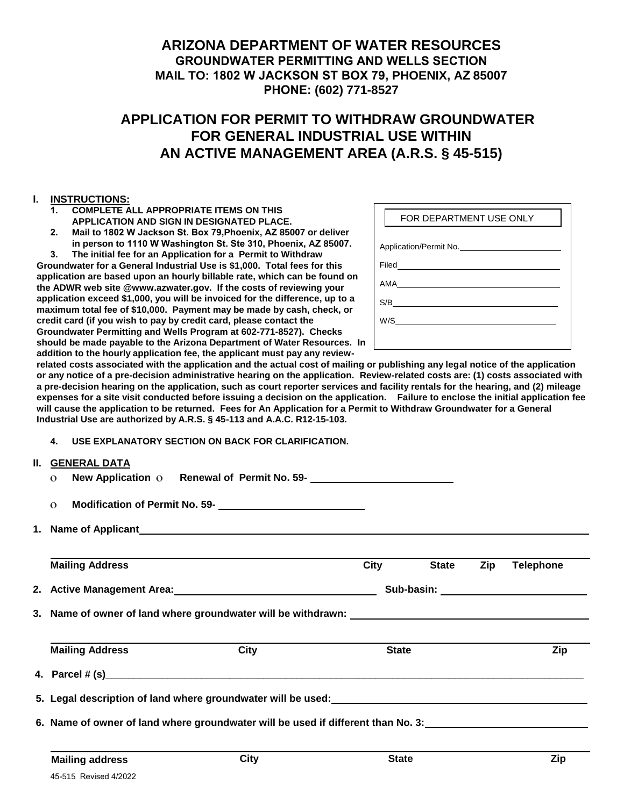### **ARIZONA DEPARTMENT OF WATER RESOURCES GROUNDWATER PERMITTING AND WELLS SECTION MAIL TO: 1802 W JACKSON ST BOX 79, PHOENIX, AZ 85007 PHONE: (602) 771-8527**

# **APPLICATION FOR PERMIT TO WITHDRAW GROUNDWATER FOR GENERAL INDUSTRIAL USE WITHIN AN ACTIVE MANAGEMENT AREA (A.R.S. § 45-515)**

#### **I. INSTRUCTIONS:**

- **1. COMPLETE ALL APPROPRIATE ITEMS ON THIS APPLICATION AND SIGN IN DESIGNATED PLACE.**
- **2. Mail to 1802 W Jackson St. Box 79,Phoenix, AZ 85007 or deliver in person to 1110 W Washington St. Ste 310, Phoenix, AZ 85007.**

**3. The initial fee for an Application for a Permit to Withdraw Groundwater for a General Industrial Use is \$1,000. Total fees for this application are based upon an hourly billable rate, which can be found on the ADWR web site @www.azwater.gov. If the costs of reviewing your application exceed \$1,000, you will be invoiced for the difference, up to a maximum total fee of \$10,000. Payment may be made by cash, check, or credit card (if you wish to pay by credit card, please contact the Groundwater Permitting and Wells Program at 602-771-8527). Checks should be made payable to the Arizona Department of Water Resources. In addition to the hourly application fee, the applicant must pay any review-**

| FOR DEPARTMENT USE ONLY |
|-------------------------|
| Application/Permit No.  |
|                         |
|                         |
|                         |
|                         |
|                         |

**related costs associated with the application and the actual cost of mailing or publishing any legal notice of the application or any notice of a pre-decision administrative hearing on the application. Review-related costs are: (1) costs associated with a pre-decision hearing on the application, such as court reporter services and facility rentals for the hearing, and (2) mileage expenses for a site visit conducted before issuing a decision on the application. Failure to enclose the initial application fee will cause the application to be returned. Fees for An Application for a Permit to Withdraw Groundwater for a General Industrial Use are authorized by A.R.S. § 45-113 and A.A.C. R12-15-103.**

**4. USE EXPLANATORY SECTION ON BACK FOR CLARIFICATION.**

|                                                                                                                | <b>II. GENERAL DATA</b>                                 |                                                                                                                 |                                    |              |     |                  |
|----------------------------------------------------------------------------------------------------------------|---------------------------------------------------------|-----------------------------------------------------------------------------------------------------------------|------------------------------------|--------------|-----|------------------|
|                                                                                                                | New Application o Renewal of Permit No. 59-<br>$\Omega$ |                                                                                                                 |                                    |              |     |                  |
|                                                                                                                | $\Omega$                                                | Modification of Permit No. 59-<br><u> </u>                                                                      |                                    |              |     |                  |
|                                                                                                                |                                                         |                                                                                                                 |                                    |              |     |                  |
|                                                                                                                | <b>Mailing Address</b>                                  |                                                                                                                 | <b>City</b>                        | <b>State</b> | Zip | <b>Telephone</b> |
| 2. Active Management Area: 2008 and 2008 and 2008 and 2008 and 2008 and 2008 and 2008 and 2008 and 2008 and 20 |                                                         |                                                                                                                 | Sub-basin: Value of the Sub-basin: |              |     |                  |
|                                                                                                                |                                                         |                                                                                                                 |                                    |              |     |                  |
|                                                                                                                | <b>Mailing Address</b>                                  | City                                                                                                            | <b>State</b>                       |              |     | Zip              |
|                                                                                                                |                                                         |                                                                                                                 |                                    |              |     |                  |
|                                                                                                                |                                                         |                                                                                                                 |                                    |              |     |                  |
|                                                                                                                |                                                         |                                                                                                                 |                                    |              |     |                  |
|                                                                                                                |                                                         | 6. Name of owner of land where groundwater will be used if different than No. 3: University of the state of the |                                    |              |     |                  |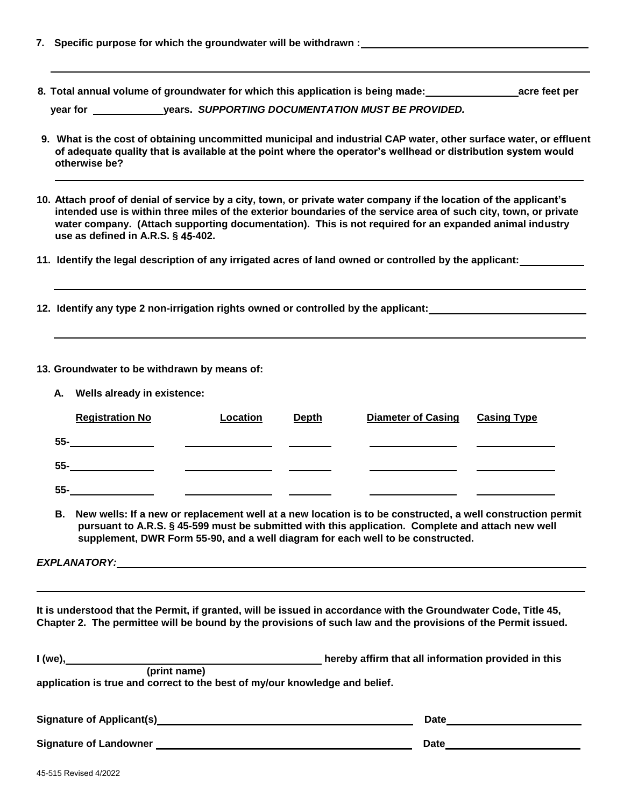- **7. Specific purpose for which the groundwater will be withdrawn :**
- **8. Total annual volume of groundwater for which this application is being made: acre feet per**

**year for years.** *SUPPORTING DOCUMENTATION MUST BE PROVIDED.*

- **9. What is the cost of obtaining uncommitted municipal and industrial CAP water, other surface water, or effluent of adequate quality that is available at the point where the operator's wellhead or distribution system would otherwise be?**
- **10. Attach proof of denial of service by a city, town, or private water company if the location of the applicant's intended use is within three miles of the exterior boundaries of the service area of such city, town, or private water company. (Attach supporting documentation). This is not required for an expanded animal industry use as defined in A.R.S. § 45-402.**
- **11. Identify the legal description of any irrigated acres of land owned or controlled by the applicant:**
- **12. Identify any type 2 non-irrigation rights owned or controlled by the applicant:**

#### **13. Groundwater to be withdrawn by means of:**

|        | A. Wells already in existence: |          |              |                           |                    |
|--------|--------------------------------|----------|--------------|---------------------------|--------------------|
|        | <b>Registration No</b>         | Location | <b>Depth</b> | <b>Diameter of Casing</b> | <b>Casing Type</b> |
| 55-    |                                |          |              |                           |                    |
| $55 -$ |                                |          |              |                           |                    |
| $55 -$ |                                |          |              |                           |                    |

**B. New wells: If a new or replacement well at a new location is to be constructed, a well construction permit pursuant to A.R.S. § 45-599 must be submitted with this application. Complete and attach new well supplement, DWR Form 55-90, and a well diagram for each well to be constructed.**

*EXPLANATORY:*

**It is understood that the Permit, if granted, will be issued in accordance with the Groundwater Code, Title 45, Chapter 2. The permittee will be bound by the provisions of such law and the provisions of the Permit issued.** 

| $I(we)$ ,                                                                   | hereby affirm that all information provided in this |  |  |  |  |
|-----------------------------------------------------------------------------|-----------------------------------------------------|--|--|--|--|
| (print name)                                                                |                                                     |  |  |  |  |
| application is true and correct to the best of my/our knowledge and belief. |                                                     |  |  |  |  |
|                                                                             |                                                     |  |  |  |  |

| <b>Signature of Applicant(s)</b> | <b>Date</b> |
|----------------------------------|-------------|
| <b>Signature of Landowner</b>    | <b>Date</b> |
| 45-515 Revised 4/2022            |             |